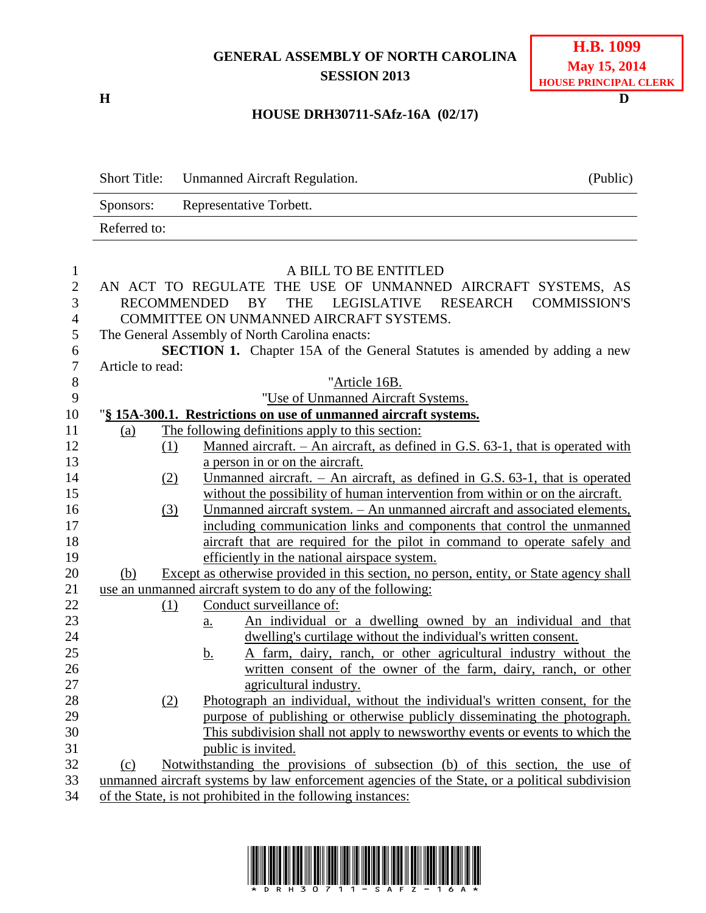## **GENERAL ASSEMBLY OF NORTH CAROLINA SESSION 2013**

**H D**

## **HOUSE DRH30711-SAfz-16A (02/17)**

|                  | <b>Short Title:</b>                                                             | Unmanned Aircraft Regulation.                                                                  | (Public) |  |  |
|------------------|---------------------------------------------------------------------------------|------------------------------------------------------------------------------------------------|----------|--|--|
|                  | Sponsors:                                                                       | Representative Torbett.                                                                        |          |  |  |
|                  | Referred to:                                                                    |                                                                                                |          |  |  |
| $\mathbf{1}$     |                                                                                 | A BILL TO BE ENTITLED                                                                          |          |  |  |
| $\mathbf{2}$     |                                                                                 | AN ACT TO REGULATE THE USE OF UNMANNED AIRCRAFT SYSTEMS, AS                                    |          |  |  |
| 3                | <b>RECOMMENDED</b><br><b>THE</b><br>LEGISLATIVE<br>RESEARCH COMMISSION'S<br>BY. |                                                                                                |          |  |  |
| $\overline{4}$   | COMMITTEE ON UNMANNED AIRCRAFT SYSTEMS.                                         |                                                                                                |          |  |  |
| 5                |                                                                                 | The General Assembly of North Carolina enacts:                                                 |          |  |  |
| 6                |                                                                                 | <b>SECTION 1.</b> Chapter 15A of the General Statutes is amended by adding a new               |          |  |  |
| $\boldsymbol{7}$ | Article to read:                                                                |                                                                                                |          |  |  |
| $\,8\,$          |                                                                                 | "Article 16B.                                                                                  |          |  |  |
| 9                |                                                                                 | "Use of Unmanned Aircraft Systems.                                                             |          |  |  |
| 10               |                                                                                 | "§ 15A-300.1. Restrictions on use of unmanned aircraft systems.                                |          |  |  |
| 11               | (a)                                                                             | The following definitions apply to this section:                                               |          |  |  |
| 12               | (1)                                                                             | Manned aircraft. $-$ An aircraft, as defined in G.S. 63-1, that is operated with               |          |  |  |
| 13               |                                                                                 | a person in or on the aircraft.                                                                |          |  |  |
| 14               | (2)                                                                             | Unmanned aircraft. $-$ An aircraft, as defined in G.S. 63-1, that is operated                  |          |  |  |
| 15               |                                                                                 | without the possibility of human intervention from within or on the aircraft.                  |          |  |  |
| 16               | (3)                                                                             | Unmanned aircraft system. - An unmanned aircraft and associated elements,                      |          |  |  |
| 17               |                                                                                 | including communication links and components that control the unmanned                         |          |  |  |
| 18               |                                                                                 | aircraft that are required for the pilot in command to operate safely and                      |          |  |  |
| 19               |                                                                                 | efficiently in the national airspace system.                                                   |          |  |  |
| 20               | (b)                                                                             | Except as otherwise provided in this section, no person, entity, or State agency shall         |          |  |  |
| 21               | use an unmanned aircraft system to do any of the following:                     |                                                                                                |          |  |  |
| 22               | (1)                                                                             | Conduct surveillance of:                                                                       |          |  |  |
| 23               |                                                                                 | An individual or a dwelling owned by an individual and that<br><u>a.</u>                       |          |  |  |
| 24               |                                                                                 | dwelling's curtilage without the individual's written consent.                                 |          |  |  |
| 25               |                                                                                 | A farm, dairy, ranch, or other agricultural industry without the<br><u>b.</u>                  |          |  |  |
| 26               |                                                                                 | written consent of the owner of the farm, dairy, ranch, or other                               |          |  |  |
| 27               |                                                                                 | agricultural industry.                                                                         |          |  |  |
| 28               | (2)                                                                             | Photograph an individual, without the individual's written consent, for the                    |          |  |  |
| 29               |                                                                                 | purpose of publishing or otherwise publicly disseminating the photograph.                      |          |  |  |
| 30               |                                                                                 | This subdivision shall not apply to news worthy events or events to which the                  |          |  |  |
| 31               |                                                                                 | public is invited.                                                                             |          |  |  |
| 32               | $\Omega$                                                                        | Notwithstanding the provisions of subsection (b) of this section, the use of                   |          |  |  |
| 33               |                                                                                 | unmanned aircraft systems by law enforcement agencies of the State, or a political subdivision |          |  |  |
| 34               |                                                                                 | of the State, is not prohibited in the following instances:                                    |          |  |  |

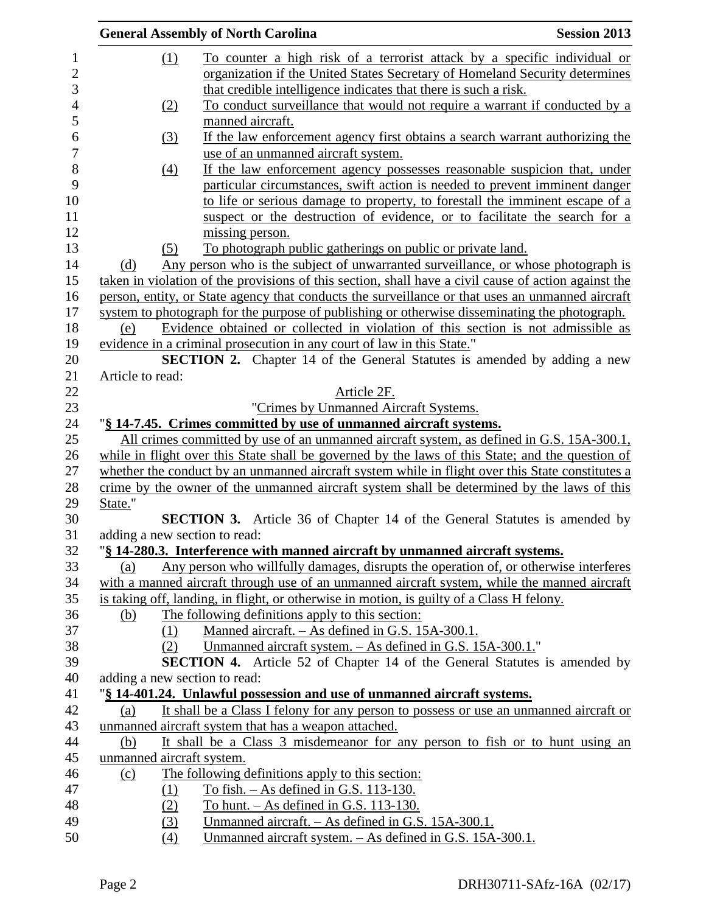|                                 |                  | <b>General Assembly of North Carolina</b>                                                                                                                                                            | <b>Session 2013</b> |
|---------------------------------|------------------|------------------------------------------------------------------------------------------------------------------------------------------------------------------------------------------------------|---------------------|
| $\mathbf{1}$                    | (1)              | To counter a high risk of a terrorist attack by a specific individual or                                                                                                                             |                     |
| $\overline{2}$                  |                  | organization if the United States Secretary of Homeland Security determines                                                                                                                          |                     |
| 3                               |                  | that credible intelligence indicates that there is such a risk.                                                                                                                                      |                     |
| $\overline{4}$                  | (2)              | To conduct surveillance that would not require a warrant if conducted by a                                                                                                                           |                     |
| 5                               |                  | manned aircraft.                                                                                                                                                                                     |                     |
| 6                               | $\left(3\right)$ | If the law enforcement agency first obtains a search warrant authorizing the                                                                                                                         |                     |
| $\overline{7}$                  |                  | use of an unmanned aircraft system.                                                                                                                                                                  |                     |
| 8                               | $\left(4\right)$ | If the law enforcement agency possesses reasonable suspicion that, under                                                                                                                             |                     |
| 9                               |                  | particular circumstances, swift action is needed to prevent imminent danger                                                                                                                          |                     |
| 10                              |                  | to life or serious damage to property, to forestall the imminent escape of a                                                                                                                         |                     |
| 11                              |                  | suspect or the destruction of evidence, or to facilitate the search for a                                                                                                                            |                     |
| 12                              |                  | missing person.                                                                                                                                                                                      |                     |
|                                 | (5)              | To photograph public gatherings on public or private land.                                                                                                                                           |                     |
| 14<br>(d)                       |                  | Any person who is the subject of unwarranted surveillance, or whose photograph is                                                                                                                    |                     |
| 15                              |                  | taken in violation of the provisions of this section, shall have a civil cause of action against the                                                                                                 |                     |
| 16<br>17                        |                  | person, entity, or State agency that conducts the surveillance or that uses an unmanned aircraft                                                                                                     |                     |
|                                 |                  | system to photograph for the purpose of publishing or otherwise disseminating the photograph.                                                                                                        |                     |
| (e)                             |                  | Evidence obtained or collected in violation of this section is not admissible as                                                                                                                     |                     |
| 19                              |                  | evidence in a criminal prosecution in any court of law in this State."                                                                                                                               |                     |
| 20<br>21                        |                  | <b>SECTION 2.</b> Chapter 14 of the General Statutes is amended by adding a new                                                                                                                      |                     |
| Article to read:                |                  |                                                                                                                                                                                                      |                     |
|                                 |                  | Article 2F.                                                                                                                                                                                          |                     |
|                                 |                  | "Crimes by Unmanned Aircraft Systems.                                                                                                                                                                |                     |
|                                 |                  | "§ 14-7.45. Crimes committed by use of unmanned aircraft systems.                                                                                                                                    |                     |
|                                 |                  | All crimes committed by use of an unmanned aircraft system, as defined in G.S. 15A-300.1,                                                                                                            |                     |
| 26<br>27                        |                  | while in flight over this State shall be governed by the laws of this State; and the question of<br>whether the conduct by an unmanned aircraft system while in flight over this State constitutes a |                     |
| $28\,$                          |                  | crime by the owner of the unmanned aircraft system shall be determined by the laws of this                                                                                                           |                     |
| State."                         |                  |                                                                                                                                                                                                      |                     |
|                                 |                  | <b>SECTION 3.</b> Article 36 of Chapter 14 of the General Statutes is amended by                                                                                                                     |                     |
|                                 |                  | adding a new section to read:                                                                                                                                                                        |                     |
|                                 |                  | "§ 14-280.3. Interference with manned aircraft by unmanned aircraft systems.                                                                                                                         |                     |
| (a)                             |                  | Any person who willfully damages, disrupts the operation of, or otherwise interferes                                                                                                                 |                     |
| 33<br>34                        |                  | with a manned aircraft through use of an unmanned aircraft system, while the manned aircraft                                                                                                         |                     |
| 35                              |                  | is taking off, landing, in flight, or otherwise in motion, is guilty of a Class H felony.                                                                                                            |                     |
| 36<br>(b)                       |                  | The following definitions apply to this section:                                                                                                                                                     |                     |
| 37                              | (1)              | Manned aircraft. - As defined in G.S. 15A-300.1.                                                                                                                                                     |                     |
|                                 | (2)              | Unmanned aircraft system. - As defined in G.S. 15A-300.1."                                                                                                                                           |                     |
|                                 |                  | <b>SECTION 4.</b> Article 52 of Chapter 14 of the General Statutes is amended by                                                                                                                     |                     |
|                                 |                  | adding a new section to read:                                                                                                                                                                        |                     |
| 40                              |                  | "§ 14-401.24. Unlawful possession and use of unmanned aircraft systems.                                                                                                                              |                     |
| (a)                             |                  | It shall be a Class I felony for any person to possess or use an unmanned aircraft or                                                                                                                |                     |
|                                 |                  | unmanned aircraft system that has a weapon attached.                                                                                                                                                 |                     |
| 44<br>(b)                       |                  | It shall be a Class 3 misdemeanor for any person to fish or to hunt using an                                                                                                                         |                     |
| 45<br>unmanned aircraft system. |                  |                                                                                                                                                                                                      |                     |
| 46<br>(c)                       |                  | The following definitions apply to this section:                                                                                                                                                     |                     |
| 47                              | (1)              | To fish. $-$ As defined in G.S. 113-130.                                                                                                                                                             |                     |
| 48                              | (2)              | To hunt. $-$ As defined in G.S. 113-130.                                                                                                                                                             |                     |
| 49                              | (3)              | Unmanned aircraft. – As defined in G.S. 15A-300.1.                                                                                                                                                   |                     |
| 50                              | (4)              | Unmanned aircraft system. - As defined in G.S. 15A-300.1.                                                                                                                                            |                     |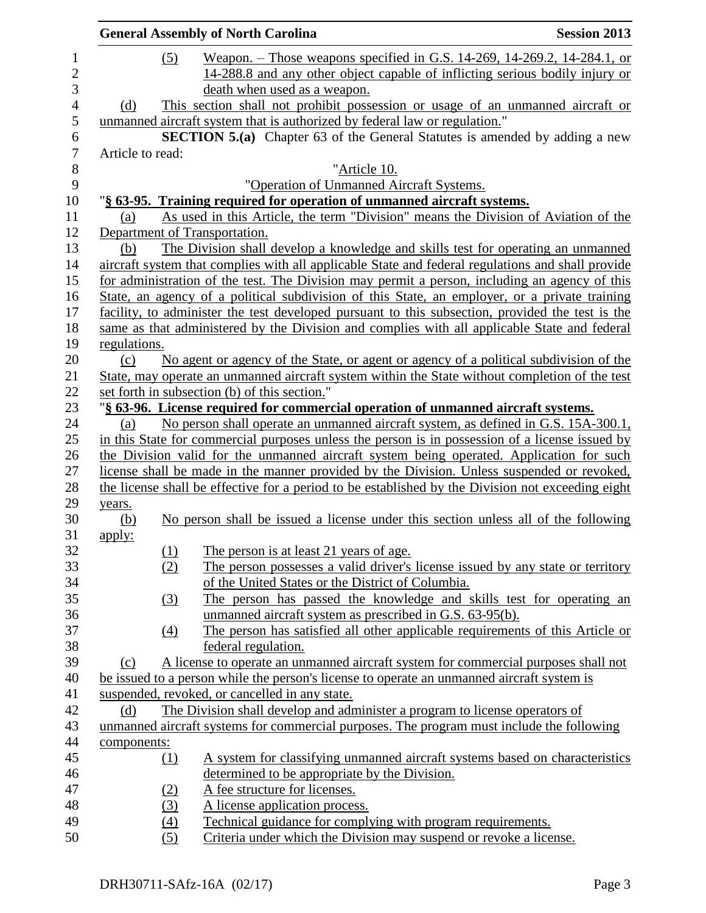| <b>Session 2013</b><br><b>General Assembly of North Carolina</b>                                             |                                                                                                                                                                                                                                                                                                                                                                                                                                                                                                                                                                                                                                                                                                                                                                                                                                                                                                                                                                                                                                                                                                                                                                                                                                                                                                                                                                                                                                                                                                                                                                                                                                                                                                                                                                                                                                                                                                                                                                                                                                                                                                                                                                                                                                                                                                                                                                                                                                                   |  |  |  |
|--------------------------------------------------------------------------------------------------------------|---------------------------------------------------------------------------------------------------------------------------------------------------------------------------------------------------------------------------------------------------------------------------------------------------------------------------------------------------------------------------------------------------------------------------------------------------------------------------------------------------------------------------------------------------------------------------------------------------------------------------------------------------------------------------------------------------------------------------------------------------------------------------------------------------------------------------------------------------------------------------------------------------------------------------------------------------------------------------------------------------------------------------------------------------------------------------------------------------------------------------------------------------------------------------------------------------------------------------------------------------------------------------------------------------------------------------------------------------------------------------------------------------------------------------------------------------------------------------------------------------------------------------------------------------------------------------------------------------------------------------------------------------------------------------------------------------------------------------------------------------------------------------------------------------------------------------------------------------------------------------------------------------------------------------------------------------------------------------------------------------------------------------------------------------------------------------------------------------------------------------------------------------------------------------------------------------------------------------------------------------------------------------------------------------------------------------------------------------------------------------------------------------------------------------------------------------|--|--|--|
|                                                                                                              |                                                                                                                                                                                                                                                                                                                                                                                                                                                                                                                                                                                                                                                                                                                                                                                                                                                                                                                                                                                                                                                                                                                                                                                                                                                                                                                                                                                                                                                                                                                                                                                                                                                                                                                                                                                                                                                                                                                                                                                                                                                                                                                                                                                                                                                                                                                                                                                                                                                   |  |  |  |
|                                                                                                              |                                                                                                                                                                                                                                                                                                                                                                                                                                                                                                                                                                                                                                                                                                                                                                                                                                                                                                                                                                                                                                                                                                                                                                                                                                                                                                                                                                                                                                                                                                                                                                                                                                                                                                                                                                                                                                                                                                                                                                                                                                                                                                                                                                                                                                                                                                                                                                                                                                                   |  |  |  |
|                                                                                                              |                                                                                                                                                                                                                                                                                                                                                                                                                                                                                                                                                                                                                                                                                                                                                                                                                                                                                                                                                                                                                                                                                                                                                                                                                                                                                                                                                                                                                                                                                                                                                                                                                                                                                                                                                                                                                                                                                                                                                                                                                                                                                                                                                                                                                                                                                                                                                                                                                                                   |  |  |  |
|                                                                                                              |                                                                                                                                                                                                                                                                                                                                                                                                                                                                                                                                                                                                                                                                                                                                                                                                                                                                                                                                                                                                                                                                                                                                                                                                                                                                                                                                                                                                                                                                                                                                                                                                                                                                                                                                                                                                                                                                                                                                                                                                                                                                                                                                                                                                                                                                                                                                                                                                                                                   |  |  |  |
|                                                                                                              |                                                                                                                                                                                                                                                                                                                                                                                                                                                                                                                                                                                                                                                                                                                                                                                                                                                                                                                                                                                                                                                                                                                                                                                                                                                                                                                                                                                                                                                                                                                                                                                                                                                                                                                                                                                                                                                                                                                                                                                                                                                                                                                                                                                                                                                                                                                                                                                                                                                   |  |  |  |
|                                                                                                              |                                                                                                                                                                                                                                                                                                                                                                                                                                                                                                                                                                                                                                                                                                                                                                                                                                                                                                                                                                                                                                                                                                                                                                                                                                                                                                                                                                                                                                                                                                                                                                                                                                                                                                                                                                                                                                                                                                                                                                                                                                                                                                                                                                                                                                                                                                                                                                                                                                                   |  |  |  |
|                                                                                                              |                                                                                                                                                                                                                                                                                                                                                                                                                                                                                                                                                                                                                                                                                                                                                                                                                                                                                                                                                                                                                                                                                                                                                                                                                                                                                                                                                                                                                                                                                                                                                                                                                                                                                                                                                                                                                                                                                                                                                                                                                                                                                                                                                                                                                                                                                                                                                                                                                                                   |  |  |  |
|                                                                                                              |                                                                                                                                                                                                                                                                                                                                                                                                                                                                                                                                                                                                                                                                                                                                                                                                                                                                                                                                                                                                                                                                                                                                                                                                                                                                                                                                                                                                                                                                                                                                                                                                                                                                                                                                                                                                                                                                                                                                                                                                                                                                                                                                                                                                                                                                                                                                                                                                                                                   |  |  |  |
| "Operation of Unmanned Aircraft Systems.                                                                     |                                                                                                                                                                                                                                                                                                                                                                                                                                                                                                                                                                                                                                                                                                                                                                                                                                                                                                                                                                                                                                                                                                                                                                                                                                                                                                                                                                                                                                                                                                                                                                                                                                                                                                                                                                                                                                                                                                                                                                                                                                                                                                                                                                                                                                                                                                                                                                                                                                                   |  |  |  |
| "§ 63-95. Training required for operation of unmanned aircraft systems.                                      |                                                                                                                                                                                                                                                                                                                                                                                                                                                                                                                                                                                                                                                                                                                                                                                                                                                                                                                                                                                                                                                                                                                                                                                                                                                                                                                                                                                                                                                                                                                                                                                                                                                                                                                                                                                                                                                                                                                                                                                                                                                                                                                                                                                                                                                                                                                                                                                                                                                   |  |  |  |
| As used in this Article, the term "Division" means the Division of Aviation of the                           |                                                                                                                                                                                                                                                                                                                                                                                                                                                                                                                                                                                                                                                                                                                                                                                                                                                                                                                                                                                                                                                                                                                                                                                                                                                                                                                                                                                                                                                                                                                                                                                                                                                                                                                                                                                                                                                                                                                                                                                                                                                                                                                                                                                                                                                                                                                                                                                                                                                   |  |  |  |
|                                                                                                              |                                                                                                                                                                                                                                                                                                                                                                                                                                                                                                                                                                                                                                                                                                                                                                                                                                                                                                                                                                                                                                                                                                                                                                                                                                                                                                                                                                                                                                                                                                                                                                                                                                                                                                                                                                                                                                                                                                                                                                                                                                                                                                                                                                                                                                                                                                                                                                                                                                                   |  |  |  |
| The Division shall develop a knowledge and skills test for operating an unmanned                             |                                                                                                                                                                                                                                                                                                                                                                                                                                                                                                                                                                                                                                                                                                                                                                                                                                                                                                                                                                                                                                                                                                                                                                                                                                                                                                                                                                                                                                                                                                                                                                                                                                                                                                                                                                                                                                                                                                                                                                                                                                                                                                                                                                                                                                                                                                                                                                                                                                                   |  |  |  |
| aircraft system that complies with all applicable State and federal regulations and shall provide            |                                                                                                                                                                                                                                                                                                                                                                                                                                                                                                                                                                                                                                                                                                                                                                                                                                                                                                                                                                                                                                                                                                                                                                                                                                                                                                                                                                                                                                                                                                                                                                                                                                                                                                                                                                                                                                                                                                                                                                                                                                                                                                                                                                                                                                                                                                                                                                                                                                                   |  |  |  |
| for administration of the test. The Division may permit a person, including an agency of this                |                                                                                                                                                                                                                                                                                                                                                                                                                                                                                                                                                                                                                                                                                                                                                                                                                                                                                                                                                                                                                                                                                                                                                                                                                                                                                                                                                                                                                                                                                                                                                                                                                                                                                                                                                                                                                                                                                                                                                                                                                                                                                                                                                                                                                                                                                                                                                                                                                                                   |  |  |  |
| State, an agency of a political subdivision of this State, an employer, or a private training                |                                                                                                                                                                                                                                                                                                                                                                                                                                                                                                                                                                                                                                                                                                                                                                                                                                                                                                                                                                                                                                                                                                                                                                                                                                                                                                                                                                                                                                                                                                                                                                                                                                                                                                                                                                                                                                                                                                                                                                                                                                                                                                                                                                                                                                                                                                                                                                                                                                                   |  |  |  |
|                                                                                                              |                                                                                                                                                                                                                                                                                                                                                                                                                                                                                                                                                                                                                                                                                                                                                                                                                                                                                                                                                                                                                                                                                                                                                                                                                                                                                                                                                                                                                                                                                                                                                                                                                                                                                                                                                                                                                                                                                                                                                                                                                                                                                                                                                                                                                                                                                                                                                                                                                                                   |  |  |  |
| same as that administered by the Division and complies with all applicable State and federal<br>regulations. |                                                                                                                                                                                                                                                                                                                                                                                                                                                                                                                                                                                                                                                                                                                                                                                                                                                                                                                                                                                                                                                                                                                                                                                                                                                                                                                                                                                                                                                                                                                                                                                                                                                                                                                                                                                                                                                                                                                                                                                                                                                                                                                                                                                                                                                                                                                                                                                                                                                   |  |  |  |
|                                                                                                              |                                                                                                                                                                                                                                                                                                                                                                                                                                                                                                                                                                                                                                                                                                                                                                                                                                                                                                                                                                                                                                                                                                                                                                                                                                                                                                                                                                                                                                                                                                                                                                                                                                                                                                                                                                                                                                                                                                                                                                                                                                                                                                                                                                                                                                                                                                                                                                                                                                                   |  |  |  |
|                                                                                                              |                                                                                                                                                                                                                                                                                                                                                                                                                                                                                                                                                                                                                                                                                                                                                                                                                                                                                                                                                                                                                                                                                                                                                                                                                                                                                                                                                                                                                                                                                                                                                                                                                                                                                                                                                                                                                                                                                                                                                                                                                                                                                                                                                                                                                                                                                                                                                                                                                                                   |  |  |  |
|                                                                                                              |                                                                                                                                                                                                                                                                                                                                                                                                                                                                                                                                                                                                                                                                                                                                                                                                                                                                                                                                                                                                                                                                                                                                                                                                                                                                                                                                                                                                                                                                                                                                                                                                                                                                                                                                                                                                                                                                                                                                                                                                                                                                                                                                                                                                                                                                                                                                                                                                                                                   |  |  |  |
|                                                                                                              |                                                                                                                                                                                                                                                                                                                                                                                                                                                                                                                                                                                                                                                                                                                                                                                                                                                                                                                                                                                                                                                                                                                                                                                                                                                                                                                                                                                                                                                                                                                                                                                                                                                                                                                                                                                                                                                                                                                                                                                                                                                                                                                                                                                                                                                                                                                                                                                                                                                   |  |  |  |
|                                                                                                              |                                                                                                                                                                                                                                                                                                                                                                                                                                                                                                                                                                                                                                                                                                                                                                                                                                                                                                                                                                                                                                                                                                                                                                                                                                                                                                                                                                                                                                                                                                                                                                                                                                                                                                                                                                                                                                                                                                                                                                                                                                                                                                                                                                                                                                                                                                                                                                                                                                                   |  |  |  |
|                                                                                                              |                                                                                                                                                                                                                                                                                                                                                                                                                                                                                                                                                                                                                                                                                                                                                                                                                                                                                                                                                                                                                                                                                                                                                                                                                                                                                                                                                                                                                                                                                                                                                                                                                                                                                                                                                                                                                                                                                                                                                                                                                                                                                                                                                                                                                                                                                                                                                                                                                                                   |  |  |  |
|                                                                                                              |                                                                                                                                                                                                                                                                                                                                                                                                                                                                                                                                                                                                                                                                                                                                                                                                                                                                                                                                                                                                                                                                                                                                                                                                                                                                                                                                                                                                                                                                                                                                                                                                                                                                                                                                                                                                                                                                                                                                                                                                                                                                                                                                                                                                                                                                                                                                                                                                                                                   |  |  |  |
| the Division valid for the unmanned aircraft system being operated. Application for such                     |                                                                                                                                                                                                                                                                                                                                                                                                                                                                                                                                                                                                                                                                                                                                                                                                                                                                                                                                                                                                                                                                                                                                                                                                                                                                                                                                                                                                                                                                                                                                                                                                                                                                                                                                                                                                                                                                                                                                                                                                                                                                                                                                                                                                                                                                                                                                                                                                                                                   |  |  |  |
| license shall be made in the manner provided by the Division. Unless suspended or revoked,                   |                                                                                                                                                                                                                                                                                                                                                                                                                                                                                                                                                                                                                                                                                                                                                                                                                                                                                                                                                                                                                                                                                                                                                                                                                                                                                                                                                                                                                                                                                                                                                                                                                                                                                                                                                                                                                                                                                                                                                                                                                                                                                                                                                                                                                                                                                                                                                                                                                                                   |  |  |  |
|                                                                                                              |                                                                                                                                                                                                                                                                                                                                                                                                                                                                                                                                                                                                                                                                                                                                                                                                                                                                                                                                                                                                                                                                                                                                                                                                                                                                                                                                                                                                                                                                                                                                                                                                                                                                                                                                                                                                                                                                                                                                                                                                                                                                                                                                                                                                                                                                                                                                                                                                                                                   |  |  |  |
|                                                                                                              |                                                                                                                                                                                                                                                                                                                                                                                                                                                                                                                                                                                                                                                                                                                                                                                                                                                                                                                                                                                                                                                                                                                                                                                                                                                                                                                                                                                                                                                                                                                                                                                                                                                                                                                                                                                                                                                                                                                                                                                                                                                                                                                                                                                                                                                                                                                                                                                                                                                   |  |  |  |
|                                                                                                              |                                                                                                                                                                                                                                                                                                                                                                                                                                                                                                                                                                                                                                                                                                                                                                                                                                                                                                                                                                                                                                                                                                                                                                                                                                                                                                                                                                                                                                                                                                                                                                                                                                                                                                                                                                                                                                                                                                                                                                                                                                                                                                                                                                                                                                                                                                                                                                                                                                                   |  |  |  |
|                                                                                                              |                                                                                                                                                                                                                                                                                                                                                                                                                                                                                                                                                                                                                                                                                                                                                                                                                                                                                                                                                                                                                                                                                                                                                                                                                                                                                                                                                                                                                                                                                                                                                                                                                                                                                                                                                                                                                                                                                                                                                                                                                                                                                                                                                                                                                                                                                                                                                                                                                                                   |  |  |  |
|                                                                                                              |                                                                                                                                                                                                                                                                                                                                                                                                                                                                                                                                                                                                                                                                                                                                                                                                                                                                                                                                                                                                                                                                                                                                                                                                                                                                                                                                                                                                                                                                                                                                                                                                                                                                                                                                                                                                                                                                                                                                                                                                                                                                                                                                                                                                                                                                                                                                                                                                                                                   |  |  |  |
|                                                                                                              |                                                                                                                                                                                                                                                                                                                                                                                                                                                                                                                                                                                                                                                                                                                                                                                                                                                                                                                                                                                                                                                                                                                                                                                                                                                                                                                                                                                                                                                                                                                                                                                                                                                                                                                                                                                                                                                                                                                                                                                                                                                                                                                                                                                                                                                                                                                                                                                                                                                   |  |  |  |
|                                                                                                              |                                                                                                                                                                                                                                                                                                                                                                                                                                                                                                                                                                                                                                                                                                                                                                                                                                                                                                                                                                                                                                                                                                                                                                                                                                                                                                                                                                                                                                                                                                                                                                                                                                                                                                                                                                                                                                                                                                                                                                                                                                                                                                                                                                                                                                                                                                                                                                                                                                                   |  |  |  |
|                                                                                                              |                                                                                                                                                                                                                                                                                                                                                                                                                                                                                                                                                                                                                                                                                                                                                                                                                                                                                                                                                                                                                                                                                                                                                                                                                                                                                                                                                                                                                                                                                                                                                                                                                                                                                                                                                                                                                                                                                                                                                                                                                                                                                                                                                                                                                                                                                                                                                                                                                                                   |  |  |  |
|                                                                                                              |                                                                                                                                                                                                                                                                                                                                                                                                                                                                                                                                                                                                                                                                                                                                                                                                                                                                                                                                                                                                                                                                                                                                                                                                                                                                                                                                                                                                                                                                                                                                                                                                                                                                                                                                                                                                                                                                                                                                                                                                                                                                                                                                                                                                                                                                                                                                                                                                                                                   |  |  |  |
|                                                                                                              |                                                                                                                                                                                                                                                                                                                                                                                                                                                                                                                                                                                                                                                                                                                                                                                                                                                                                                                                                                                                                                                                                                                                                                                                                                                                                                                                                                                                                                                                                                                                                                                                                                                                                                                                                                                                                                                                                                                                                                                                                                                                                                                                                                                                                                                                                                                                                                                                                                                   |  |  |  |
|                                                                                                              |                                                                                                                                                                                                                                                                                                                                                                                                                                                                                                                                                                                                                                                                                                                                                                                                                                                                                                                                                                                                                                                                                                                                                                                                                                                                                                                                                                                                                                                                                                                                                                                                                                                                                                                                                                                                                                                                                                                                                                                                                                                                                                                                                                                                                                                                                                                                                                                                                                                   |  |  |  |
|                                                                                                              |                                                                                                                                                                                                                                                                                                                                                                                                                                                                                                                                                                                                                                                                                                                                                                                                                                                                                                                                                                                                                                                                                                                                                                                                                                                                                                                                                                                                                                                                                                                                                                                                                                                                                                                                                                                                                                                                                                                                                                                                                                                                                                                                                                                                                                                                                                                                                                                                                                                   |  |  |  |
|                                                                                                              |                                                                                                                                                                                                                                                                                                                                                                                                                                                                                                                                                                                                                                                                                                                                                                                                                                                                                                                                                                                                                                                                                                                                                                                                                                                                                                                                                                                                                                                                                                                                                                                                                                                                                                                                                                                                                                                                                                                                                                                                                                                                                                                                                                                                                                                                                                                                                                                                                                                   |  |  |  |
|                                                                                                              |                                                                                                                                                                                                                                                                                                                                                                                                                                                                                                                                                                                                                                                                                                                                                                                                                                                                                                                                                                                                                                                                                                                                                                                                                                                                                                                                                                                                                                                                                                                                                                                                                                                                                                                                                                                                                                                                                                                                                                                                                                                                                                                                                                                                                                                                                                                                                                                                                                                   |  |  |  |
|                                                                                                              |                                                                                                                                                                                                                                                                                                                                                                                                                                                                                                                                                                                                                                                                                                                                                                                                                                                                                                                                                                                                                                                                                                                                                                                                                                                                                                                                                                                                                                                                                                                                                                                                                                                                                                                                                                                                                                                                                                                                                                                                                                                                                                                                                                                                                                                                                                                                                                                                                                                   |  |  |  |
|                                                                                                              |                                                                                                                                                                                                                                                                                                                                                                                                                                                                                                                                                                                                                                                                                                                                                                                                                                                                                                                                                                                                                                                                                                                                                                                                                                                                                                                                                                                                                                                                                                                                                                                                                                                                                                                                                                                                                                                                                                                                                                                                                                                                                                                                                                                                                                                                                                                                                                                                                                                   |  |  |  |
|                                                                                                              |                                                                                                                                                                                                                                                                                                                                                                                                                                                                                                                                                                                                                                                                                                                                                                                                                                                                                                                                                                                                                                                                                                                                                                                                                                                                                                                                                                                                                                                                                                                                                                                                                                                                                                                                                                                                                                                                                                                                                                                                                                                                                                                                                                                                                                                                                                                                                                                                                                                   |  |  |  |
|                                                                                                              |                                                                                                                                                                                                                                                                                                                                                                                                                                                                                                                                                                                                                                                                                                                                                                                                                                                                                                                                                                                                                                                                                                                                                                                                                                                                                                                                                                                                                                                                                                                                                                                                                                                                                                                                                                                                                                                                                                                                                                                                                                                                                                                                                                                                                                                                                                                                                                                                                                                   |  |  |  |
|                                                                                                              |                                                                                                                                                                                                                                                                                                                                                                                                                                                                                                                                                                                                                                                                                                                                                                                                                                                                                                                                                                                                                                                                                                                                                                                                                                                                                                                                                                                                                                                                                                                                                                                                                                                                                                                                                                                                                                                                                                                                                                                                                                                                                                                                                                                                                                                                                                                                                                                                                                                   |  |  |  |
|                                                                                                              |                                                                                                                                                                                                                                                                                                                                                                                                                                                                                                                                                                                                                                                                                                                                                                                                                                                                                                                                                                                                                                                                                                                                                                                                                                                                                                                                                                                                                                                                                                                                                                                                                                                                                                                                                                                                                                                                                                                                                                                                                                                                                                                                                                                                                                                                                                                                                                                                                                                   |  |  |  |
|                                                                                                              |                                                                                                                                                                                                                                                                                                                                                                                                                                                                                                                                                                                                                                                                                                                                                                                                                                                                                                                                                                                                                                                                                                                                                                                                                                                                                                                                                                                                                                                                                                                                                                                                                                                                                                                                                                                                                                                                                                                                                                                                                                                                                                                                                                                                                                                                                                                                                                                                                                                   |  |  |  |
| Criteria under which the Division may suspend or revoke a license.                                           |                                                                                                                                                                                                                                                                                                                                                                                                                                                                                                                                                                                                                                                                                                                                                                                                                                                                                                                                                                                                                                                                                                                                                                                                                                                                                                                                                                                                                                                                                                                                                                                                                                                                                                                                                                                                                                                                                                                                                                                                                                                                                                                                                                                                                                                                                                                                                                                                                                                   |  |  |  |
|                                                                                                              | <u>Weapon. – Those weapons specified in G.S. 14-269, 14-269.2, 14-284.1, or</u><br>14-288.8 and any other object capable of inflicting serious bodily injury or<br>death when used as a weapon.<br>This section shall not prohibit possession or usage of an unmanned aircraft or<br>unmanned aircraft system that is authorized by federal law or regulation."<br><b>SECTION 5.(a)</b> Chapter 63 of the General Statutes is amended by adding a new<br>"Article 10.<br>Department of Transportation.<br>facility, to administer the test developed pursuant to this subsection, provided the test is the<br>No agent or agency of the State, or agent or agency of a political subdivision of the<br>State, may operate an unmanned aircraft system within the State without completion of the test<br>set forth in subsection (b) of this section."<br>"§ 63-96. License required for commercial operation of unmanned aircraft systems.<br>No person shall operate an unmanned aircraft system, as defined in G.S. 15A-300.1,<br>in this State for commercial purposes unless the person is in possession of a license issued by<br>the license shall be effective for a period to be established by the Division not exceeding eight<br>No person shall be issued a license under this section unless all of the following<br>The person is at least 21 years of age.<br>The person possesses a valid driver's license issued by any state or territory<br>of the United States or the District of Columbia.<br>The person has passed the knowledge and skills test for operating an<br>unmanned aircraft system as prescribed in G.S. 63-95(b).<br>The person has satisfied all other applicable requirements of this Article or<br>federal regulation.<br>A license to operate an unmanned aircraft system for commercial purposes shall not<br>be issued to a person while the person's license to operate an unmanned aircraft system is<br>suspended, revoked, or cancelled in any state.<br>The Division shall develop and administer a program to license operators of<br>unmanned aircraft systems for commercial purposes. The program must include the following<br>A system for classifying unmanned aircraft systems based on characteristics<br>determined to be appropriate by the Division.<br>A fee structure for licenses.<br>A license application process.<br>Technical guidance for complying with program requirements. |  |  |  |